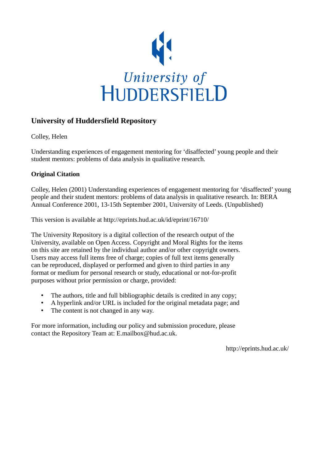

# **University of Huddersfield Repository**

Colley, Helen

Understanding experiences of engagement mentoring for 'disaffected' young people and their student mentors: problems of data analysis in qualitative research.

# **Original Citation**

Colley, Helen (2001) Understanding experiences of engagement mentoring for 'disaffected' young people and their student mentors: problems of data analysis in qualitative research. In: BERA Annual Conference 2001, 13-15th September 2001, University of Leeds. (Unpublished)

This version is available at http://eprints.hud.ac.uk/id/eprint/16710/

The University Repository is a digital collection of the research output of the University, available on Open Access. Copyright and Moral Rights for the items on this site are retained by the individual author and/or other copyright owners. Users may access full items free of charge; copies of full text items generally can be reproduced, displayed or performed and given to third parties in any format or medium for personal research or study, educational or not-for-profit purposes without prior permission or charge, provided:

- The authors, title and full bibliographic details is credited in any copy;
- A hyperlink and/or URL is included for the original metadata page; and
- The content is not changed in any way.

For more information, including our policy and submission procedure, please contact the Repository Team at: E.mailbox@hud.ac.uk.

http://eprints.hud.ac.uk/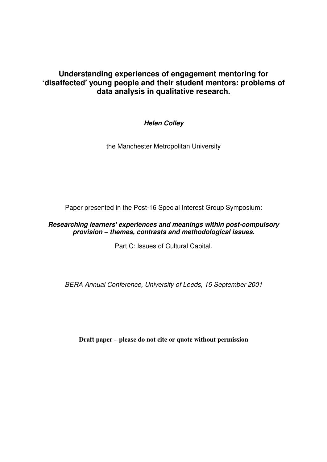# **Understanding experiences of engagement mentoring for 'disaffected' young people and their student mentors: problems of data analysis in qualitative research.**

**Helen Colley** 

the Manchester Metropolitan University

Paper presented in the Post-16 Special Interest Group Symposium:

## **Researching learners' experiences and meanings within post-compulsory provision – themes, contrasts and methodological issues.**

Part C: Issues of Cultural Capital.

BERA Annual Conference, University of Leeds, 15 September 2001

**Draft paper – please do not cite or quote without permission**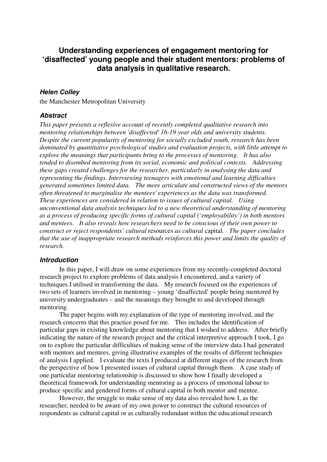# **Understanding experiences of engagement mentoring for 'disaffected' young people and their student mentors: problems of data analysis in qualitative research.**

# **Helen Colley**

the Manchester Metropolitan University

## **Abstract**

*This paper presents a reflexive account of recently completed qualitative research into mentoring relationships between 'disaffected' 16-19 year olds and university students. Despite the current popularity of mentoring for socially excluded youth, research has been dominated by quantitative psychological studies and evaluation projects, with little attempt to explore the meanings that participants bring to the processes of mentoring. It has also tended to disembed mentoring from its social, economic and political contexts. Addressing these gaps created challenges for the researcher, particularly in analysing the data and representing the findings. Interviewing teenagers with emotional and learning difficulties generated sometimes limited data. The more articulate and constructed views of the mentors often threatened to marginalise the mentees' experiences as the data was transformed. These experiences are considered in relation to issues of cultural capital. Using unconventional data analysis techniques led to a new theoretical understanding of mentoring as a process of producing specific forms of cultural capital ('employability') in both mentors and mentees. It also reveals how researchers need to be conscious of their own power to construct or reject respondents' cultural* resources *as cultural* capital*. The paper concludes that the use of inappropriate research methods reinforces this power and limits the quality of research.* 

## **Introduction**

 In this paper, I will draw on some experiences from my recently-completed doctoral research project to explore problems of data analysis I encountered, and a variety of techniques I utilised in transforming the data. My research focused on the experiences of two sets of learners involved in mentoring – young 'disaffected' people being mentored by university undergraduates – and the meanings they brought to and developed through mentoring.

The paper begins with my explanation of the type of mentoring involved, and the research concerns that this practice posed for me. This includes the identification of particular gaps in existing knowledge about mentoring that I wished to address. After briefly indicating the nature of the research project and the critical interpretive approach I took, I go on to explore the particular difficulties of making sense of the interview data I had generated with mentors and mentees, giving illustrative examples of the results of different techniques of analysis I applied. I evaluate the texts I produced at different stages of the research from the perspective of how I presented issues of cultural capital through them. A case study of one particular mentoring relationship is discussed to show how I finally developed a theoretical framework for understanding mentoring as a process of emotional labour to produce specific and gendered forms of cultural capital in both mentor and mentee.

However, the struggle to make sense of my data also revealed how I, as the researcher, needed to be aware of my own power to construct the cultural resources of respondents as cultural capital or as culturally redundant within the educational research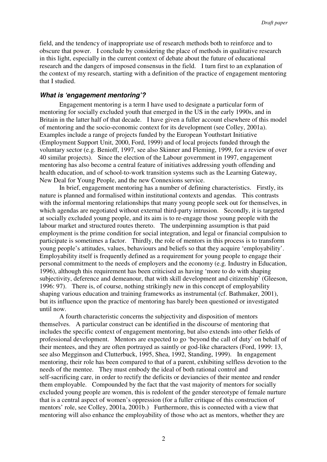field, and the tendency of inappropriate use of research methods both to reinforce and to obscure that power. I conclude by considering the place of methods in qualitative research in this light, especially in the current context of debate about the future of educational research and the dangers of imposed consensus in the field. I turn first to an explanation of the context of my research, starting with a definition of the practice of engagement mentoring that I studied.

### **What is 'engagement mentoring'?**

Engagement mentoring is a term I have used to designate a particular form of mentoring for socially excluded youth that emerged in the US in the early 1990s, and in Britain in the latter half of that decade. I have given a fuller account elsewhere of this model of mentoring and the socio-economic context for its development (see Colley, 2001a). Examples include a range of projects funded by the European Youthstart Initiative (Employment Support Unit, 2000, Ford, 1999) and of local projects funded through the voluntary sector (e.g. Benioff, 1997, see also Skinner and Fleming, 1999, for a review of over 40 similar projects). Since the election of the Labour government in 1997, engagement mentoring has also become a central feature of initiatives addressing youth offending and health education, and of school-to-work transition systems such as the Learning Gateway, New Deal for Young People, and the new Connexions service.

In brief, engagement mentoring has a number of defining characteristics. Firstly, its nature is planned and formalised within institutional contexts and agendas. This contrasts with the informal mentoring relationships that many young people seek out for themselves, in which agendas are negotiated without external third-party intrusion. Secondly, it is targeted at socially excluded young people, and its aim is to re-engage those young people with the labour market and structured routes thereto. The underpinning assumption is that paid employment is the prime condition for social integration, and legal or financial compulsion to participate is sometimes a factor. Thirdly, the role of mentors in this process is to transform young people's attitudes, values, behaviours and beliefs so that they acquire 'employability'. Employability itself is frequently defined as a requirement for young people to engage their personal commitment to the needs of employers and the economy (e.g. Industry in Education, 1996), although this requirement has been criticised as having 'more to do with shaping subjectivity, deference and demeanour, that with skill development and citizenship' (Gleeson, 1996: 97). There is, of course, nothing strikingly new in this concept of employability shaping various education and training frameworks as instrumental (cf. Bathmaker, 2001), but its influence upon the practice of mentoring has barely been questioned or investigated until now.

A fourth characteristic concerns the subjectivity and disposition of mentors themselves. A particular construct can be identified in the discourse of mentoring that includes the specific context of engagement mentoring, but also extends into other fields of professional development. Mentors are expected to go 'beyond the call of duty' on behalf of their mentees, and they are often portrayed as saintly or god-like characters (Ford, 1999: 13, see also Megginson and Clutterbuck, 1995, Shea, 1992, Standing, 1999). In engagement mentoring, their role has been compared to that of a parent, exhibiting selfless devotion to the needs of the mentee. They must embody the ideal of both rational control and self-sacrificing care, in order to rectify the deficits or deviancies of their mentee and render them employable. Compounded by the fact that the vast majority of mentors for socially excluded young people are women, this is redolent of the gender stereotype of female nurture that is a central aspect of women's oppression (for a fuller critique of this construction of mentors' role, see Colley, 2001a, 2001b.) Furthermore, this is connected with a view that mentoring will also enhance the employability of those who act as mentors, whether they are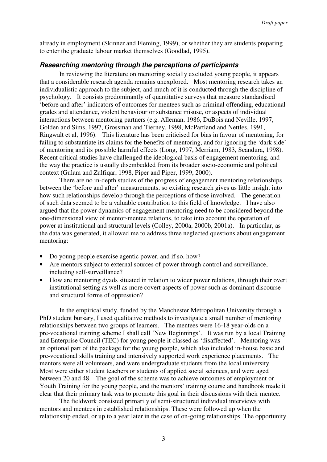already in employment (Skinner and Fleming, 1999), or whether they are students preparing to enter the graduate labour market themselves (Goodlad, 1995).

### **Researching mentoring through the perceptions of participants**

 In reviewing the literature on mentoring socially excluded young people, it appears that a considerable research agenda remains unexplored. Most mentoring research takes an individualistic approach to the subject, and much of it is conducted through the discipline of psychology. It consists predominantly of quantitative surveys that measure standardised 'before and after' indicators of outcomes for mentees such as criminal offending, educational grades and attendance, violent behaviour or substance misuse, or aspects of individual interactions between mentoring partners (e.g. Alleman, 1986, DuBois and Neville, 1997, Golden and Sims, 1997, Grossman and Tierney, 1998, McPartland and Nettles, 1991, Ringwalt et al, 1996). This literature has been criticised for bias in favour of mentoring, for failing to substantiate its claims for the benefits of mentoring, and for ignoring the 'dark side' of mentoring and its possible harmful effects (Long, 1997, Merriam, 1983, Scandura, 1998). Recent critical studies have challenged the ideological basis of engagement mentoring, and the way the practice is usually disembedded from its broader socio-economic and political context (Gulam and Zulfiqar, 1998, Piper and Piper, 1999, 2000).

There are no in-depth studies of the progress of engagement mentoring relationships between the 'before and after' measurements, so existing research gives us little insight into how such relationships develop through the perceptions of those involved. The generation of such data seemed to be a valuable contribution to this field of knowledge. I have also argued that the power dynamics of engagement mentoring need to be considered beyond the one-dimensional view of mentor-mentee relations, to take into account the operation of power at institutional and structural levels (Colley, 2000a, 2000b, 2001a). In particular, as the data was generated, it allowed me to address three neglected questions about engagement mentoring:

- Do young people exercise agentic power, and if so, how?
- Are mentors subject to external sources of power through control and surveillance, including self-surveillance?
- How are mentoring dyads situated in relation to wider power relations, through their overt institutional setting as well as more covert aspects of power such as dominant discourse and structural forms of oppression?

 In the empirical study, funded by the Manchester Metropolitan University through a PhD student bursary, I used qualitative methods to investigate a small number of mentoring relationships between two groups of learners. The mentees were 16-18 year-olds on a pre-vocational training scheme I shall call 'New Beginnings'. It was run by a local Training and Enterprise Council (TEC) for young people it classed as 'disaffected'. Mentoring was an optional part of the package for the young people, which also included in-house basic and pre-vocational skills training and intensively supported work experience placements. The mentors were all volunteers, and were undergraduate students from the local university. Most were either student teachers or students of applied social sciences, and were aged between 20 and 48. The goal of the scheme was to achieve outcomes of employment or Youth Training for the young people, and the mentors' training course and handbook made it clear that their primary task was to promote this goal in their discussions with their mentee.

The fieldwork consisted primarily of semi-structured individual interviews with mentors and mentees in established relationships. These were followed up when the relationship ended, or up to a year later in the case of on-going relationships. The opportunity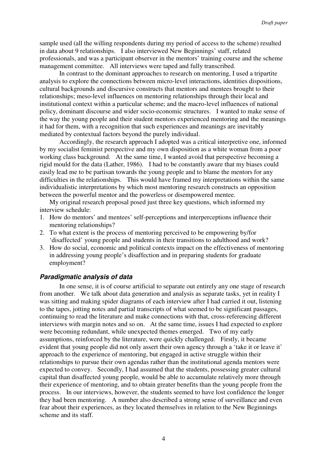sample used (all the willing respondents during my period of access to the scheme) resulted in data about 9 relationships. I also interviewed New Beginnings' staff, related professionals, and was a participant observer in the mentors' training course and the scheme management committee. All interviews were taped and fully transcribed.

 In contrast to the dominant approaches to research on mentoring, I used a tripartite analysis to explore the connections between micro-level interactions, identities dispositions, cultural backgrounds and discursive constructs that mentors and mentees brought to their relationships; meso-level influences on mentoring relationships through their local and institutional context within a particular scheme; and the macro-level influences of national policy, dominant discourse and wider socio-economic structures. I wanted to make sense of the way the young people and their student mentors experienced mentoring and the meanings it had for them, with a recognition that such experiences and meanings are inevitably mediated by contextual factors beyond the purely individual.

Accordingly, the research approach I adopted was a critical interpretive one, informed by my socialist feminist perspective and my own disposition as a white woman from a poor working class background. At the same time, I wanted avoid that perspective becoming a rigid mould for the data (Lather, 1986). I had to be constantly aware that my biases could easily lead me to be partisan towards the young people and to blame the mentors for any difficulties in the relationships. This would have framed my interpretations within the same individualistic interpretations by which most mentoring research constructs an opposition between the powerful mentor and the powerless or disempowered mentee.

My original research proposal posed just three key questions, which informed my interview schedule:

- 1. How do mentors' and mentees' self-perceptions and interperceptions influence their mentoring relationships?
- 2. To what extent is the process of mentoring perceived to be empowering by/for 'disaffected' young people and students in their transitions to adulthood and work?
- 3. How do social, economic and political contexts impact on the effectiveness of mentoring in addressing young people's disaffection and in preparing students for graduate employment?

#### **Paradigmatic analysis of data**

 In one sense, it is of course artificial to separate out entirely any one stage of research from another. We talk about data generation and analysis as separate tasks, yet in reality I was sitting and making spider diagrams of each interview after I had carried it out, listening to the tapes, jotting notes and partial transcripts of what seemed to be significant passages, continuing to read the literature and make connections with that, cross-referencing different interviews with margin notes and so on. At the same time, issues I had expected to explore were becoming redundant, while unexpected themes emerged. Two of my early assumptions, reinforced by the literature, were quickly challenged. Firstly, it became evident that young people did not only assert their own agency through a 'take it or leave it' approach to the experience of mentoring, but engaged in active struggle within their relationships to pursue their own agendas rather than the institutional agenda mentors were expected to convey. Secondly, I had assumed that the students, possessing greater cultural capital than disaffected young people, would be able to accumulate relatively more through their experience of mentoring, and to obtain greater benefits than the young people from the process. In our interviews, however, the students seemed to have lost confidence the longer they had been mentoring. A number also described a strong sense of surveillance and even fear about their experiences, as they located themselves in relation to the New Beginnings scheme and its staff.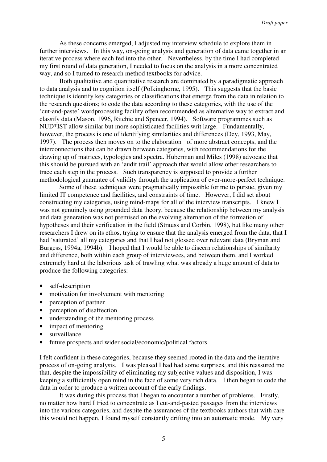As these concerns emerged, I adjusted my interview schedule to explore them in further interviews. In this way, on-going analysis and generation of data came together in an iterative process where each fed into the other. Nevertheless, by the time I had completed my first round of data generation, I needed to focus on the analysis in a more concentrated way, and so I turned to research method textbooks for advice.

Both qualitative and quantitative research are dominated by a paradigmatic approach to data analysis and to cognition itself (Polkinghorne, 1995). This suggests that the basic technique is identify key categories or classifications that emerge from the data in relation to the research questions; to code the data according to these categories, with the use of the 'cut-and-paste' wordprocessing facility often recommended as alternative way to extract and classify data (Mason, 1996, Ritchie and Spencer, 1994). Software programmes such as NUD\*IST allow similar but more sophisticated facilities writ large. Fundamentally, however, the process is one of identifying similarities and differences (Dey, 1993, May, 1997). The process then moves on to the elaboration of more abstract concepts, and the interconnections that can be drawn between categories, with recommendations for the drawing up of matrices, typologies and spectra. Huberman and Miles (1998) advocate that this should be pursued with an 'audit trail' approach that would allow other researchers to trace each step in the process. Such transparency is supposed to provide a further methodological guarantee of validity through the application of ever-more-perfect technique.

 Some of these techniques were pragmatically impossible for me to pursue, given my limited IT competence and facilities, and constraints of time. However, I did set about constructing my categories, using mind-maps for all of the interview transcripts. I knew I was not genuinely using grounded data theory, because the relationship between my analysis and data generation was not premised on the evolving alternation of the formation of hypotheses and their verification in the field (Strauss and Corbin, 1998), but like many other researchers I drew on its ethos, trying to ensure that the analysis emerged from the data, that I had 'saturated' all my categories and that I had not glossed over relevant data (Bryman and Burgess, 1994a, 1994b). I hoped that I would be able to discern relationships of similarity and difference, both within each group of interviewees, and between them, and I worked extremely hard at the laborious task of trawling what was already a huge amount of data to produce the following categories:

- self-description
- motivation for involvement with mentoring
- perception of partner
- perception of disaffection
- understanding of the mentoring process
- impact of mentoring
- surveillance
- future prospects and wider social/economic/political factors

I felt confident in these categories, because they seemed rooted in the data and the iterative process of on-going analysis. I was pleased I had had some surprises, and this reassured me that, despite the impossibility of eliminating my subjective values and disposition, I was keeping a sufficiently open mind in the face of some very rich data. I then began to code the data in order to produce a written account of the early findings.

 It was during this process that I began to encounter a number of problems. Firstly, no matter how hard I tried to concentrate as I cut-and-pasted passages from the interviews into the various categories, and despite the assurances of the textbooks authors that with care this would not happen, I found myself constantly drifting into an automatic mode. My very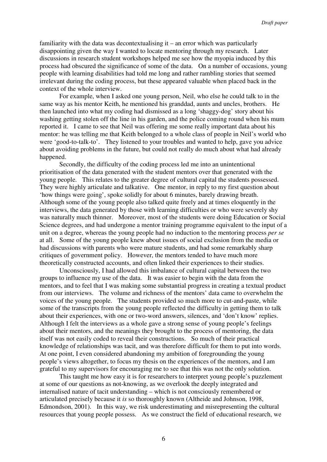familiarity with the data was decontextualising it – an error which was particularly disappointing given the way I wanted to locate mentoring through my research. Later discussions in research student workshops helped me see how the myopia induced by this process had obscured the significance of some of the data. On a number of occasions, young people with learning disabilities had told me long and rather rambling stories that seemed irrelevant during the coding process, but these appeared valuable when placed back in the context of the whole interview.

 For example, when I asked one young person, Neil, who else he could talk to in the same way as his mentor Keith, he mentioned his granddad, aunts and uncles, brothers. He then launched into what my coding had dismissed as a long 'shaggy-dog' story about his washing getting stolen off the line in his garden, and the police coming round when his mum reported it. I came to see that Neil was offering me some really important data about his mentor: he was telling me that Keith belonged to a whole class of people in Neil's world who were 'good-to-talk-to'. They listened to your troubles and wanted to help, gave you advice about avoiding problems in the future, but could not really do much about what had already happened.

 Secondly, the difficulty of the coding process led me into an unintentional prioritisation of the data generated with the student mentors over that generated with the young people. This relates to the greater degree of cultural capital the students possessed. They were highly articulate and talkative. One mentor, in reply to my first question about 'how things were going', spoke solidly for about 6 minutes, barely drawing breath. Although some of the young people also talked quite freely and at times eloquently in the interviews, the data generated by those with learning difficulties or who were severely shy was naturally much thinner. Moreover, most of the students were doing Education or Social Science degrees, and had undergone a mentor training programme equivalent to the input of a unit on a degree, whereas the young people had no induction to the mentoring process *per se* at all. Some of the young people knew about issues of social exclusion from the media or had discussions with parents who were mature students, and had some remarkably sharp critiques of government policy. However, the mentors tended to have much more theoretically constructed accounts, and often linked their experiences to their studies.

Unconsciously, I had allowed this imbalance of cultural capital between the two groups to influence my use of the data. It was easier to begin with the data from the mentors, and to feel that I was making some substantial progress in creating a textual product from our interviews. The volume and richness of the mentors' data came to overwhelm the voices of the young people. The students provided so much more to cut-and-paste, while some of the transcripts from the young people reflected the difficulty in getting them to talk about their experiences, with one or two-word answers, silences, and 'don't know' replies. Although I felt the interviews as a whole gave a strong sense of young people's feelings about their mentors, and the meanings they brought to the process of mentoring, the data itself was not easily coded to reveal their constructions. So much of their practical knowledge of relationships was tacit, and was therefore difficult for them to put into words. At one point, I even considered abandoning my ambition of foregrounding the young people's views altogether, to focus my thesis on the experiences of the mentors, and I am grateful to my supervisors for encouraging me to see that this was not the only solution.

This taught me how easy it is for researchers to interpret young people's puzzlement at some of our questions as not-knowing, as we overlook the deeply integrated and internalised nature of tacit understanding – which is not consciously remembered or articulated precisely because it *is* so thoroughly known (Altheide and Johnson, 1998, Edmondson, 2001). In this way, we risk underestimating and misrepresenting the cultural resources that young people possess. As we construct the field of educational research, we

6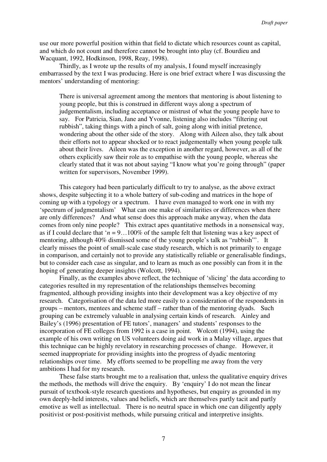use our more powerful position within that field to dictate which resources count as capital, and which do not count and therefore cannot be brought into play (cf. Bourdieu and Wacquant, 1992, Hodkinson, 1998, Reay, 1998).

 Thirdly, as I wrote up the results of my analysis, I found myself increasingly embarrassed by the text I was producing. Here is one brief extract where I was discussing the mentors' understanding of mentoring:

There is universal agreement among the mentors that mentoring is about listening to young people, but this is construed in different ways along a spectrum of judgementalism, including acceptance or mistrust of what the young people have to say. For Patricia, Sian, Jane and Yvonne, listening also includes "filtering out rubbish", taking things with a pinch of salt, going along with initial pretence, wondering about the other side of the story. Along with Aileen also, they talk about their efforts not to appear shocked or to react judgementally when young people talk about their lives. Aileen was the exception in another regard, however, as all of the others explicitly saw their role as to empathise with the young people, whereas she clearly stated that it was not about saying "I know what you're going through" (paper written for supervisors, November 1999).

This category had been particularly difficult to try to analyse, as the above extract shows, despite subjecting it to a whole battery of sub-coding and matrices in the hope of coming up with a typology or a spectrum. I have even managed to work one in with my 'spectrum of judgmentalism' What can one make of similarities or differences when there are only differences? And what sense does this approach make anyway, when the data comes from only nine people? This extract apes quantitative methods in a nonsensical way, as if I could declare that '*n* = 9…100% of the sample felt that listening was a key aspect of mentoring, although 40% dismissed some of the young people's talk as "rubbish"'. It clearly misses the point of small-scale case study research, which is not primarily to engage in comparison, and certainly not to provide any statistically reliable or generalisable findings, but to consider each case as singular, and to learn as much as one possibly can from it in the hoping of generating deeper insights (Wolcott, 1994).

Finally, as the examples above reflect, the technique of 'slicing' the data according to categories resulted in my representation of the relationships themselves becoming fragmented, although providing insights into their development was a key objective of my research. Categorisation of the data led more easily to a consideration of the respondents in groups – mentors, mentees and scheme staff – rather than of the mentoring dyads. Such grouping can be extremely valuable in analysing certain kinds of research. Ainley and Bailey's (1996) presentation of FE tutors', managers' and students' responses to the incorporation of FE colleges from 1992 is a case in point. Wolcott (1994), using the example of his own writing on US volunteers doing aid work in a Malay village, argues that this technique can be highly revelatory in researching processes of change. However, it seemed inappropriate for providing insights into the progress of dyadic mentoring relationships over time. My efforts seemed to be propelling me away from the very ambitions I had for my research.

These false starts brought me to a realisation that, unless the qualitative enquiry drives the methods, the methods will drive the enquiry. By 'enquiry' I do not mean the linear pursuit of textbook-style research questions and hypotheses, but enquiry as grounded in my own deeply-held interests, values and beliefs, which are themselves partly tacit and partly emotive as well as intellectual. There is no neutral space in which one can diligently apply positivist or post-positivist methods, while pursuing critical and interpretive insights.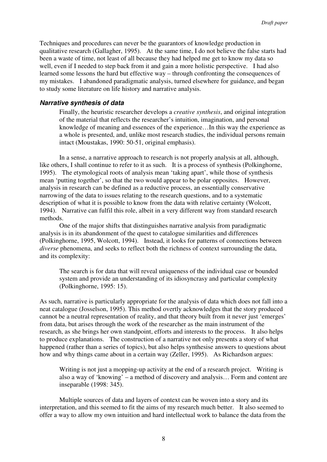Techniques and procedures can never be the guarantors of knowledge production in qualitative research (Gallagher, 1995). At the same time, I do not believe the false starts had been a waste of time, not least of all because they had helped me get to know my data so well, even if I needed to step back from it and gain a more holistic perspective. I had also learned some lessons the hard but effective way – through confronting the consequences of my mistakes. I abandoned paradigmatic analysis, turned elsewhere for guidance, and began to study some literature on life history and narrative analysis.

#### **Narrative synthesis of data**

Finally, the heuristic researcher develops a *creative synthesis*, and original integration of the material that reflects the researcher's intuition, imagination, and personal knowledge of meaning and essences of the experience…In this way the experience as a whole is presented, and, unlike most research studies, the individual persons remain intact (Moustakas, 1990: 50-51, original emphasis).

In a sense, a narrative approach to research is not properly analysis at all, although, like others, I shall continue to refer to it as such. It is a process of synthesis (Polkinghorne, 1995). The etymological roots of analysis mean 'taking apart', while those of synthesis mean 'putting together', so that the two would appear to be polar opposites. However, analysis in research can be defined as a reductive process, an essentially conservative narrowing of the data to issues relating to the research questions, and to a systematic description of what it is possible to know from the data with relative certainty (Wolcott, 1994). Narrative can fulfil this role, albeit in a very different way from standard research methods.

One of the major shifts that distinguishes narrative analysis from paradigmatic analysis is in its abandonment of the quest to catalogue similarities and differences (Polkinghorne, 1995, Wolcott, 1994). Instead, it looks for patterns of connections between *diverse* phenomena, and seeks to reflect both the richness of context surrounding the data, and its complexity:

The search is for data that will reveal uniqueness of the individual case or bounded system and provide an understanding of its idiosyncrasy and particular complexity (Polkinghorne, 1995: 15).

As such, narrative is particularly appropriate for the analysis of data which does not fall into a neat catalogue (Josselson, 1995). This method overtly acknowledges that the story produced cannot be a neutral representation of reality, and that theory built from it never just 'emerges' from data, but arises through the work of the researcher as the main instrument of the research, as she brings her own standpoint, efforts and interests to the process. It also helps to produce explanations. The construction of a narrative not only presents a story of what happened (rather than a series of topics), but also helps synthesise answers to questions about how and why things came about in a certain way (Zeller, 1995). As Richardson argues:

Writing is not just a mopping-up activity at the end of a research project. Writing is also a way of 'knowing' – a method of discovery and analysis… Form and content are inseparable (1998: 345).

Multiple sources of data and layers of context can be woven into a story and its interpretation, and this seemed to fit the aims of my research much better. It also seemed to offer a way to allow my own intuition and hard intellectual work to balance the data from the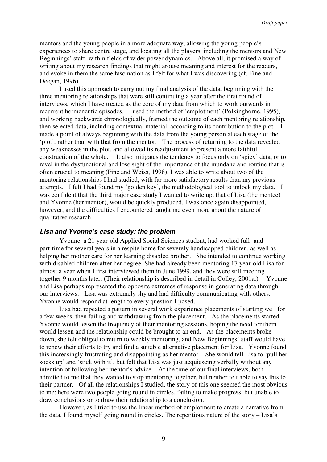mentors and the young people in a more adequate way, allowing the young people's experiences to share centre stage, and locating all the players, including the mentors and New Beginnings' staff, within fields of wider power dynamics. Above all, it promised a way of writing about my research findings that might arouse meaning and interest for the readers, and evoke in them the same fascination as I felt for what I was discovering (cf. Fine and Deegan, 1996).

I used this approach to carry out my final analysis of the data, beginning with the three mentoring relationships that were still continuing a year after the first round of interviews, which I have treated as the core of my data from which to work outwards in recurrent hermeneutic episodes. I used the method of 'emplotment' (Polkinghorne, 1995), and working backwards chronologically, framed the outcome of each mentoring relationship, then selected data, including contextual material, according to its contribution to the plot. I made a point of always beginning with the data from the young person at each stage of the 'plot', rather than with that from the mentor. The process of returning to the data revealed any weaknesses in the plot, and allowed its readjustment to present a more faithful construction of the whole. It also mitigates the tendency to focus only on 'spicy' data, or to revel in the dysfunctional and lose sight of the importance of the mundane and routine that is often crucial to meaning (Fine and Weiss, 1998). I was able to write about two of the mentoring relationships I had studied, with far more satisfactory results than my previous attempts. I felt I had found my 'golden key', the methodological tool to unlock my data. I was confident that the third major case study I wanted to write up, that of Lisa (the mentee) and Yvonne (her mentor), would be quickly produced. I was once again disappointed, however, and the difficulties I encountered taught me even more about the nature of qualitative research.

### **Lisa and Yvonne's case study: the problem**

 Yvonne, a 21 year-old Applied Social Sciences student, had worked full- and part-time for several years in a respite home for severely handicapped children, as well as helping her mother care for her learning disabled brother. She intended to continue working with disabled children after her degree. She had already been mentoring 17 year-old Lisa for almost a year when I first interviewed them in June 1999, and they were still meeting together 9 months later. (Their relationship is described in detail in Colley, 2001a.) Yvonne and Lisa perhaps represented the opposite extremes of response in generating data through our interviews. Lisa was extremely shy and had difficulty communicating with others. Yvonne would respond at length to every question I posed.

Lisa had repeated a pattern in several work experience placements of starting well for a few weeks, then failing and withdrawing from the placement. As the placements started, Yvonne would lessen the frequency of their mentoring sessions, hoping the need for them would lessen and the relationship could be brought to an end. As the placements broke down, she felt obliged to return to weekly mentoring, and New Beginnings' staff would have to renew their efforts to try and find a suitable alternative placement for Lisa. Yvonne found this increasingly frustrating and disappointing as her mentor. She would tell Lisa to 'pull her socks up' and 'stick with it', but felt that Lisa was just acquiescing verbally without any intention of following her mentor's advice. At the time of our final interviews, both admitted to me that they wanted to stop mentoring together, but neither felt able to say this to their partner. Of all the relationships I studied, the story of this one seemed the most obvious to me: here were two people going round in circles, failing to make progress, but unable to draw conclusions or to draw their relationship to a conclusion.

However, as I tried to use the linear method of emplotment to create a narrative from the data, I found myself going round in circles. The repetitious nature of the story – Lisa's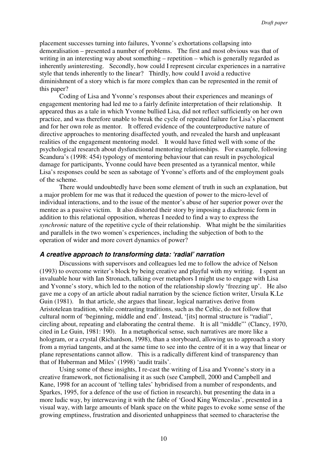placement successes turning into failures, Yvonne's exhortations collapsing into demoralisation – presented a number of problems. The first and most obvious was that of writing in an interesting way about something – repetition – which is generally regarded as inherently *un*interesting. Secondly, how could I represent circular experiences in a narrative style that tends inherently to the linear? Thirdly, how could I avoid a reductive diminishment of a story which is far more complex than can be represented in the remit of this paper?

Coding of Lisa and Yvonne's responses about their experiences and meanings of engagement mentoring had led me to a fairly definite interpretation of their relationship. It appeared thus as a tale in which Yvonne bullied Lisa, did not reflect sufficiently on her own practice, and was therefore unable to break the cycle of repeated failure for Lisa's placement and for her own role as mentor. It offered evidence of the counterproductive nature of directive approaches to mentoring disaffected youth, and revealed the harsh and unpleasant realities of the engagement mentoring model. It would have fitted well with some of the psychological research about dysfunctional mentoring relationships. For example, following Scandura's (1998: 454) typology of mentoring behaviour that can result in psychological damage for participants, Yvonne could have been presented as a tyrannical mentor, while Lisa's responses could be seen as sabotage of Yvonne's efforts and of the employment goals of the scheme.

 There would undoubtedly have been some element of truth in such an explanation, but a major problem for me was that it reduced the question of power to the micro-level of individual interactions, and to the issue of the mentor's abuse of her superior power over the mentee as a passive victim. It also distorted their story by imposing a diachronic form in addition to this relational opposition, whereas I needed to find a way to express the *synchronic* nature of the repetitive cycle of their relationship. What might be the similarities and parallels in the two women's experiences, including the subjection of both to the operation of wider and more covert dynamics of power?

#### **A creative approach to transforming data: 'radial' narration**

 Discussions with supervisors and colleagues led me to follow the advice of Nelson (1993) to overcome writer's block by being creative and playful with my writing. I spent an invaluable hour with Ian Stronach, talking over metaphors I might use to engage with Lisa and Yvonne's story, which led to the notion of the relationship slowly 'freezing up'. He also gave me a copy of an article about radial narration by the science fiction writer, Ursula K.Le Guin (1981). In that article, she argues that linear, logical narratives derive from Aristotelean tradition, while contrasting traditions, such as the Celtic, do not follow that cultural norm of 'beginning, middle and end'. Instead, '[its] normal structure is "radial", circling about, repeating and elaborating the central theme. It is all "middle"' (Clancy, 1970, cited in Le Guin, 1981: 190). In a metaphorical sense, such narratives are more like a hologram, or a crystal (Richardson, 1998), than a storyboard, allowing us to approach a story from a myriad tangents, and at the same time to see into the centre of it in a way that linear or plane representations cannot allow. This is a radically different kind of transparency than that of Huberman and Miles' (1998) 'audit trails'.

 Using some of these insights, I re-cast the writing of Lisa and Yvonne's story in a creative framework, not fictionalising it as such (see Campbell, 2000 and Campbell and Kane, 1998 for an account of 'telling tales' hybridised from a number of respondents, and Sparkes, 1995, for a defence of the use of fiction in research), but presenting the data in a more ludic way, by interweaving it with the fable of 'Good King Wenceslas', presented in a visual way, with large amounts of blank space on the white pages to evoke some sense of the growing emptiness, frustration and disoriented unhappiness that seemed to characterise the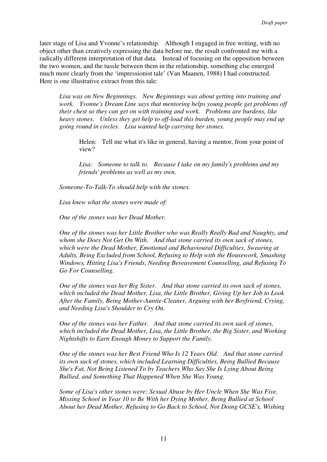later stage of Lisa and Yvonne's relationship. Although I engaged in free writing, with no object other than creatively expressing the data before me, the result confronted me with a radically different interpretation of that data. Instead of focusing on the opposition between the two women, and the tussle between them in the relationship, something else emerged much more clearly from the 'impressionist tale' (Van Maanen, 1988) I had constructed. Here is one illustrative extract from this tale:

*Lisa was on New Beginnings. New Beginnings was about getting into training and work. Yvonne's Dream Line says that mentoring helps young people get problems off their chest so they can get on with training and work. Problems are burdens, like heavy stones. Unless they get help to off-load this burden, young people may end up going round in circles. Lisa wanted help carrying her stones.* 

Helen: Tell me what it's like in general, having a mentor, from your point of view?

*Lisa: Someone to talk to. Because I take on my family's problems and my friends' problems as well as my own.* 

*Someone-To-Talk-To should help with the stones.* 

*Lisa knew what the stones were made of:* 

*One of the stones was her Dead Mother.* 

*One of the stones was her Little Brother who was Really Really Bad and Naughty, and whom she Does Not Get On With. And that stone carried its own sack of stones, which were the Dead Mother, Emotional and Behavioural Difficulties, Swearing at Adults, Being Excluded from School, Refusing to Help with the Housework, Smashing Windows, Hitting Lisa's Friends, Needing Bereavement Counselling, and Refusing To Go For Counselling.* 

*One of the stones was her Big Sister. And that stone carried its own sack of stones, which included the Dead Mother, Lisa, the Little Brother, Giving Up her Job to Look After the Family, Being Mother-Auntie-Cleaner, Arguing with her Boyfriend, Crying, and Needing Lisa's Shoulder to Cry On.* 

*One of the stones was her Father. And that stone carried its own sack of stones, which included the Dead Mother, Lisa, the Little Brother, the Big Sister, and Working Nightshifts to Earn Enough Money to Support the Family.* 

*One of the stones was her Best Friend Who Is 12 Years Old. And that stone carried its own sack of stones, which included Learning Difficulties, Being Bullied Because She's Fat, Not Being Listened To by Teachers Who Say She Is Lying About Being Bullied, and Something That Happened When She Was Young.* 

*Some of Lisa's other stones were: Sexual Abuse by Her Uncle When She Was Five, Missing School in Year 10 to Be With her Dying Mother, Being Bullied at School About her Dead Mother, Refusing to Go Back to School, Not Doing GCSE's, Wishing*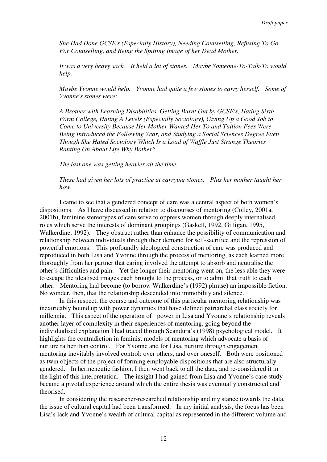*She Had Done GCSE's (Especially History), Needing Counselling, Refusing To Go For Counselling, and Being the Spitting Image of her Dead Mother.* 

*It was a very heavy sack. It held a lot of stones. Maybe Someone-To-Talk-To would help.* 

*Maybe Yvonne would help. Yvonne had quite a few stones to carry herself. Some of Yvonne's stones were:* 

*A Brother with Learning Disabilities, Getting Burnt Out by GCSE's, Hating Sixth Form College, Hating A Levels (Especially Sociology), Giving Up a Good Job to Come to University Because Her Mother Wanted Her To and Tuition Fees Were Being Introduced the Following Year, and Studying a Social Sciences Degree Even Though She Hated Sociology Which Is a Load of Waffle Just Strange Theories Ranting On About Life Why Bother?* 

*The last one was getting heavier all the time.* 

*These had given her lots of practice at carrying stones. Plus her mother taught her how.*

I came to see that a gendered concept of care was a central aspect of both women's dispositions. As I have discussed in relation to discourses of mentoring (Colley, 2001a, 2001b), feminine stereotypes of care serve to oppress women through deeply internalised roles which serve the interests of dominant groupings (Gaskell, 1992, Gilligan, 1995, Walkerdine, 1992). They obstruct rather than enhance the possibility of communication and relationship between individuals through their demand for self-sacrifice and the repression of powerful emotions. This profoundly ideological construction of care was produced and reproduced in both Lisa and Yvonne through the process of mentoring, as each learned more thoroughly from her partner that caring involved the attempt to absorb and neutralise the other's difficulties and pain. Yet the longer their mentoring went on, the less able they were to escape the idealised images each brought to the process, or to admit that truth to each other. Mentoring had become (to borrow Walkerdine's (1992) phrase) an impossible fiction. No wonder, then, that the relationship descended into immobility and silence.

In this respect, the course and outcome of this particular mentoring relationship was inextricably bound up with power dynamics that have defined patriarchal class society for millennia. This aspect of the operation of power in Lisa and Yvonne's relationship reveals another layer of complexity in their experiences of mentoring, going beyond the individualised explanation I had traced through Scandura's (1998) psychological model. It highlights the contradiction in feminist models of mentoring which advocate a basis of nurture rather than control. For Yvonne and for Lisa, nurture through engagement mentoring inevitably involved control: over others, and over oneself. Both were positioned as twin objects of the project of forming employable dispositions that are also structurally gendered. In hermeneutic fashion, I then went back to all the data, and re-considered it in the light of this interpretation. The insight I had gained from Lisa and Yvonne's case study became a pivotal experience around which the entire thesis was eventually constructed and theorised.

In considering the researcher-researched relationship and my stance towards the data, the issue of cultural capital had been transformed. In my initial analysis, the focus has been Lisa's lack and Yvonne's wealth of cultural capital as represented in the different volume and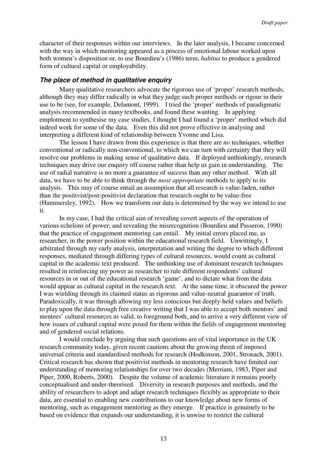character of their responses within our interviews. In the later analysis, I became concerned with the way in which mentoring appeared as a process of emotional labour worked upon both women's disposition or, to use Bourdieu's (1986) term, *habitus* to produce a gendered form of cultural capital or employability.

#### **The place of method in qualitative enquiry**

 Many qualitative researchers advocate the rigorous use of 'proper' research methods, although they may differ radically in what they judge such proper methods or rigour in their use to be (see, for example, Delamont, 1999). I tried the 'proper' methods of paradigmatic analysis recommended in many textbooks, and found these wanting. In applying emplotment to synthesise my case studies, I thought I had found a 'proper' method which did indeed work for some of the data. Even this did not prove effective in analysing and interpreting a different kind of relationship between Yvonne and Lisa.

The lesson I have drawn from this experience is that there are *no* techniques, whether conventional or radically non-conventional, to which we can turn with certainty that they will resolve our problems in making sense of qualitative data. If deployed unthinkingly, research techniques may drive our enquiry off course rather than help us gain in understanding. The use of radial narrative is no more a guarantee of success than any other method. With all data, we have to be able to think through the *most appropriate* methods to apply to its analysis. This may of course entail an assumption that all research is value-laden, rather than the positivist/post-positivist declaration that research ought to be value-free (Hammersley, 1992). How we transform our data is determined by the way we intend to use it.

In my case, I had the critical aim of revealing covert aspects of the operation of various echelons of power, and revealing the misrecognition (Bourdieu and Passeron, 1990) that the practice of engagement mentoring can entail. My initial errors placed me, as researcher, in the power position within the educational research field. Unwittingly, I arbitrated through my early analysis, interpretation and writing the degree to which different responses, mediated through differing types of cultural resources, would count as cultural capital in the academic text produced. The unthinking use of dominant research techniques resulted in reinforcing my power as researcher to rule different respondents' cultural resources in or out of the educational research 'game', and to dictate what from the data would appear as cultural capital in the research text. At the same time, it obscured the power I was wielding through its claimed status as rigorous and value-neutral guarantor of truth. Paradoxically, it was through allowing my less conscious but deeply-held values and beliefs to play upon the data through free creative writing that I was able to accept both mentors' and mentees' cultural resources as valid, to foreground both, and to arrive a very different view of how issues of cultural capital were posed for them within the fields of engagement mentoring and of gendered social relations.

I would conclude by arguing that such questions are of vital importance in the UK research community today, given recent cautions about the growing threat of imposed universal criteria and standardised methods for research (Hodkinson, 2001, Stronach, 2001). Critical research has shown that positivist methods in mentoring research have limited our understanding of mentoring relationships for over two decades (Merriam, 1983, Piper and Piper, 2000, Roberts, 2000). Despite the volume of academic literature it remains poorly conceptualised and under-theorised. Diversity in research purposes and methods, and the ability of researchers to adopt and adapt research techniques flexibly as appropriate to their data, are essential to enabling new contributions to our knowledge about new forms of mentoring, such as engagement mentoring as they emerge. If practice is genuinely to be based on evidence that expands our understanding, it is unwise to restrict the cultural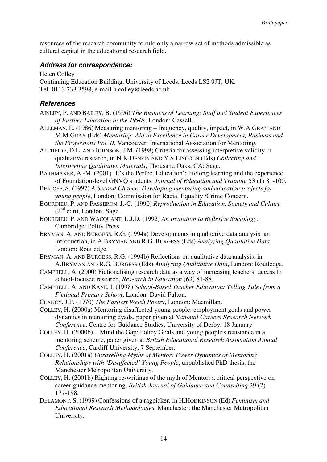resources of the research community to rule only a narrow set of methods admissible as cultural capital in the educational research field.

## **Address for correspondence:**

Helen Colley

Continuing Education Building, University of Leeds, Leeds LS2 9JT, UK. Tel: 0113 233 3598, e-mail h.colley@leeds.ac.uk

## **References**

- AINLEY, P. AND BAILEY, B. (1996) *The Business of Learning: Staff and Student Experiences of Further Education in the 1990s*, London: Cassell.
- ALLEMAN, E. (1986) Measuring mentoring frequency, quality, impact, in W.A.GRAY AND M.M.GRAY (Eds) *Mentoring: Aid to Excellence in Career Development, Business and the Professions Vol. II*, Vancouver: International Association for Mentoring.

ALTHEIDE, D.L. AND JOHNSON, J.M. (1998) Criteria for assessing interpretive validity in qualitative research, in N.K.DENZIN AND Y.S.LINCOLN (Eds) *Collecting and Interpreting Qualitative Materials*, Thousand Oaks, CA: Sage.

BATHMAKER, A.-M. (2001) 'It's the Perfect Education': lifelong learning and the experience of Foundation-level GNVQ students, *Journal of Education and Training* 53 (1) 81-100.

- BENIOFF, S. (1997) *A Second Chance: Developing mentoring and education projects for young people*, London: Commission for Racial Equality /Crime Concern.
- BOURDIEU, P. AND PASSERON, J.-C. (1990) *Reproduction in Education, Society and Culture*   $(2^{nd}$  edn), London: Sage.
- BOURDIEU, P. AND WACQUANT, L.J.D. (1992) *An Invitation to Reflexive Sociology*, Cambridge: Polity Press.
- BRYMAN, A. AND BURGESS, R.G. (1994a) Developments in qualitative data analysis: an introduction, in A.BRYMAN AND R.G. BURGESS (Eds) *Analyzing Qualitative Data*, London: Routledge.
- BRYMAN, A. AND BURGESS, R.G. (1994b) Reflections on qualitative data analysis, in A.BRYMAN AND R.G. BURGESS (Eds) *Analyzing Qualitative Data*, London: Routledge.
- CAMPBELL, A. (2000) Fictionalising research data as a way of increasing teachers' access to school-focused research, *Research in Education* (63) 81-88.
- CAMPBELL, A. AND KANE, I. (1998) *School-Based Teacher Education: Telling Tales from a Fictional Primary School*, London: David Fulton.
- CLANCY, J.P. (1970) *The Earliest Welsh Poetry*, London: Macmillan.
- COLLEY, H. (2000a) Mentoring disaffected young people: employment goals and power dynamics in mentoring dyads, paper given at *National Careers Research Network Conference*, Centre for Guidance Studies, University of Derby, 18 January.
- COLLEY, H. (2000b). Mind the Gap: Policy Goals and young people's resistance in a mentoring scheme, paper given at *British Educational Research Association Annual Conference*, Cardiff University, 7 September.
- COLLEY, H. (2001a) *Unravelling Myths of Mentor: Power Dynamics of Mentoring Relationships with 'Disaffected' Young People*, unpublished PhD thesis, the Manchester Metropolitan University.
- COLLEY, H. (2001b) Righting re-writings of the myth of Mentor: a critical perspective on career guidance mentoring, *British Journal of Guidance and Counselling* 29 (2) 177-198.
- DELAMONT, S. (1999) Confessions of a ragpicker, in H.HODKINSON (Ed) *Feminism and Educational Research Methodologies*, Manchester: the Manchester Metropolitan University.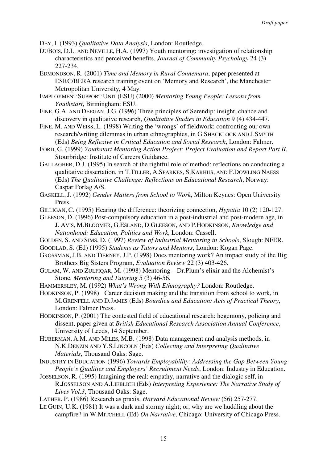DEY, I. (1993) *Qualitative Data Analysis*, London: Routledge.

- DUBOIS, D.L. AND NEVILLE, H.A. (1997) Youth mentoring: investigation of relationship characteristics and perceived benefits, *Journal of Community Psychology* 24 (3) 227-234.
- EDMONDSON, R. (2001) *Time and Memory in Rural Connemara*, paper presented at ESRC/BERA research training event on 'Memory and Research', the Manchester Metropolitan University, 4 May.
- EMPLOYMENT SUPPORT UNIT (ESU) (2000) *Mentoring Young People: Lessons from Youthstart*, Birmingham: ESU.
- FINE, G.A. AND DEEGAN, J.G. (1996) Three principles of Serendip: insight, chance and discovery in qualitative research, *Qualitative Studies in Education* 9 (4) 434-447.
- FINE, M. AND WEISS, L. (1998) Writing the 'wrongs' of fieldwork: confronting our own research/writing dilemmas in urban ethnographies, in G.SHACKLOCK AND J.SMYTH (Eds) *Being Reflexive in Critical Education and Social Research*, London: Falmer.
- FORD, G. (1999) *Youthstart Mentoring Action Project: Project Evaluation and Report Part II*, Stourbridge: Institute of Careers Guidance.
- GALLAGHER, D.J. (1995) In search of the rightful role of method: reflections on conducting a qualitative dissertation, in T.TILLER, A.SPARKES, S.KARHUS, AND F.DOWLING NAESS (Eds) *The Qualitative Challenge: Reflections on Educational Research*, Norway: Caspar Forlag A/S.
- GASKELL, J. (1992) *Gender Matters from School to Work*, Milton Keynes: Open University Press.
- GILLIGAN, C. (1995) Hearing the difference: theorizing connection, *Hypatia* 10 (2) 120-127.
- GLEESON, D. (1996) Post-compulsory education in a post-industrial and post-modern age, in J. AVIS, M.BLOOMER, G.ESLAND, D.GLEESON, AND P.HODKINSON, *Knowledge and Nationhood: Education, Politics and Work*, London: Cassell.
- GOLDEN, S. AND SIMS, D. (1997) *Review of Industrial Mentoring in Schools*, Slough: NFER.
- GOODLAD, S. (Ed) (1995) *Students as Tutors and Mentors*, London: Kogan Page.
- GROSSMAN, J.B. AND TIERNEY, J.P. (1998) Does mentoring work? An impact study of the Big Brothers Big Sisters Program, *Evaluation Review* 22 (3) 403-426.
- GULAM, W. AND ZULFIQAR, M. (1998) Mentoring Dr.Plum's elixir and the Alchemist's Stone, *Mentoring and Tutoring* 5 (3) 46-56.
- HAMMERSLEY, M. (1992) *What's Wrong With Ethnography?* London: Routledge.
- HODKINSON, P. (1998) Career decision making and the transition from school to work, in M.GRENFELL AND D.JAMES (Eds) *Bourdieu and Education: Acts of Practical Theory*, London: Falmer Press.
- HODKINSON, P. (2001) The contested field of educational research: hegemony, policing and dissent, paper given at *British Educational Research Association Annual Conference*, University of Leeds, 14 September.
- HUBERMAN, A.M. AND MILES, M.B. (1998) Data management and analysis methods, in N.K.DENZIN AND Y.S.LINCOLN (Eds) *Collecting and Interpreting Qualitative Materials*, Thousand Oaks: Sage.
- INDUSTRY IN EDUCATION (1996) *Towards Employability: Addressing the Gap Between Young People's Qualities and Employers' Recruitment Needs*, London: Industry in Education.
- JOSSELSON, R. (1995) Imagining the real: empathy, narrative and the dialogic self, in R.JOSSELSON AND A.LIEBLICH (Eds) *Interpreting Experience: The Narrative Study of Lives Vol.3*, Thousand Oaks: Sage.
- LATHER, P. (1986) Research as praxis, *Harvard Educational Review* (56) 257-277.
- LE GUIN, U.K. (1981) It was a dark and stormy night; or, why are we huddling about the campfire? in W.MITCHELL (Ed) *On Narrative*, Chicago: University of Chicago Press.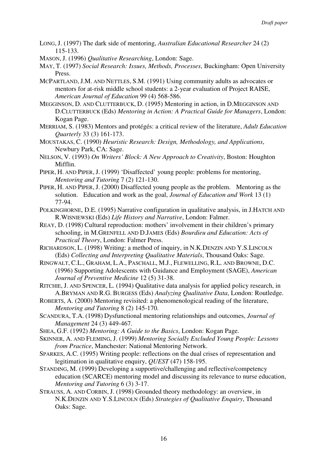- LONG, J. (1997) The dark side of mentoring, *Australian Educational Researcher* 24 (2) 115-133.
- MASON, J. (1996) *Qualitative Researching*, London: Sage.
- MAY, T. (1997) *Social Research: Issues, Methods, Processes*, Buckingham: Open University Press.
- MCPARTLAND, J.M. AND NETTLES, S.M. (1991) Using community adults as advocates or mentors for at-risk middle school students: a 2-year evaluation of Project RAISE, *American Journal of Education* 99 (4) 568-586.
- MEGGINSON, D. AND CLUTTERBUCK, D. (1995) Mentoring in action, in D.MEGGINSON AND D.CLUTTERBUCK (Eds) *Mentoring in Action: A Practical Guide for Managers*, London: Kogan Page.
- MERRIAM, S. (1983) Mentors and protégés: a critical review of the literature, *Adult Education Quarterly* 33 (3) 161-173.
- MOUSTAKAS, C. (1990) *Heuristic Research: Design, Methodology, and Applications*, Newbury Park, CA: Sage.
- NELSON, V. (1993) *On Writers' Block: A New Approach to Creativity*, Boston: Houghton Mifflin.
- PIPER, H. AND PIPER, J. (1999) 'Disaffected' young people: problems for mentoring, *Mentoring and Tutoring* 7 (2) 121-130.
- PIPER, H. AND PIPER, J. (2000) Disaffected young people as the problem. Mentoring as the solution. Education and work as the goal, *Journal of Education and Work* 13 (1) 77-94.
- POLKINGHORNE, D.E. (1995) Narrative configuration in qualitative analysis, in J.HATCH AND R.WISNIEWSKI (Eds) *Life History and Narrative*, London: Falmer.
- REAY, D. (1998) Cultural reproduction: mothers' involvement in their children's primary schooling, in M.GRENFELL AND D.JAMES (Eds) *Bourdieu and Education: Acts of Practical Theory*, London: Falmer Press.
- RICHARDSON, L. (1998) Writing: a method of inquiry, in N.K.DENZIN AND Y.S.LINCOLN (Eds) *Collecting and Interpreting Qualitative Materials*, Thousand Oaks: Sage.
- RINGWALT, C.L., GRAHAM, L.A., PASCHALL, M.J., FLEWELLING, R.L. AND BROWNE, D.C. (1996) Supporting Adolescents with Guidance and Employment (SAGE), *American Journal of Preventive Medicine* 12 (5) 31-38.
- RITCHIE, J. AND SPENCER, L. (1994) Qualitative data analysis for applied policy research, in A.BRYMAN AND R.G. BURGESS (Eds) *Analyzing Qualitative Data*, London: Routledge.
- ROBERTS, A. (2000) Mentoring revisited: a phenomenological reading of the literature, *Mentoring and Tutoring* 8 (2) 145-170.
- SCANDURA, T.A. (1998) Dysfunctional mentoring relationships and outcomes, *Journal of Management* 24 (3) 449-467.
- SHEA, G.F. (1992) *Mentoring: A Guide to the Basics*, London: Kogan Page.
- SKINNER, A. AND FLEMING, J. (1999) *Mentoring Socially Excluded Young People: Lessons from Practice*, Manchester: National Mentoring Network.
- SPARKES, A.C. (1995) Writing people: reflections on the dual crises of representation and legitimation in qualitative enquiry, *QUEST* (47) 158-195.
- STANDING, M. (1999) Developing a supportive/challenging and reflective/competency education (SCARCE) mentoring model and discussing its relevance to nurse education, *Mentoring and Tutoring* 6 (3) 3-17.
- STRAUSS, A. AND CORBIN, J. (1998) Grounded theory methodology: an overview, in N.K.DENZIN AND Y.S.LINCOLN (Eds) *Strategies of Qualitative Enquiry*, Thousand Oaks: Sage.